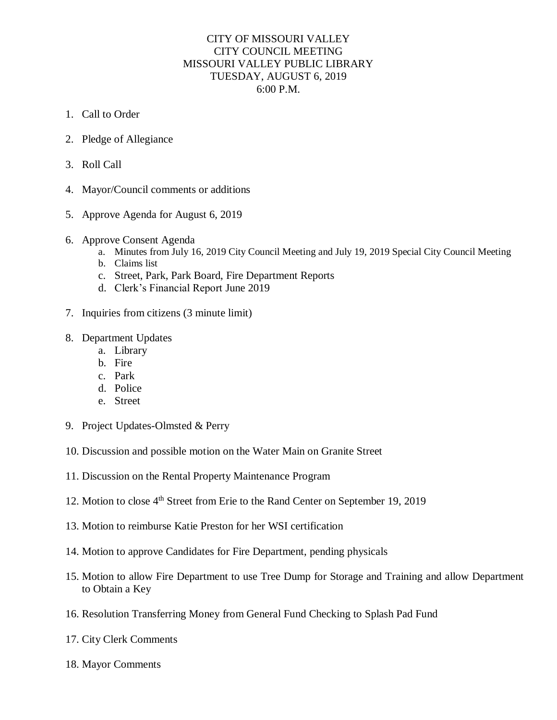## CITY OF MISSOURI VALLEY CITY COUNCIL MEETING MISSOURI VALLEY PUBLIC LIBRARY TUESDAY, AUGUST 6, 2019 6:00 P.M.

- 1. Call to Order
- 2. Pledge of Allegiance
- 3. Roll Call
- 4. Mayor/Council comments or additions
- 5. Approve Agenda for August 6, 2019
- 6. Approve Consent Agenda
	- a. Minutes from July 16, 2019 City Council Meeting and July 19, 2019 Special City Council Meeting
	- b. Claims list
	- c. Street, Park, Park Board, Fire Department Reports
	- d. Clerk's Financial Report June 2019
- 7. Inquiries from citizens (3 minute limit)
- 8. Department Updates
	- a. Library
	- b. Fire
	- c. Park
	- d. Police
	- e. Street
- 9. Project Updates-Olmsted & Perry
- 10. Discussion and possible motion on the Water Main on Granite Street
- 11. Discussion on the Rental Property Maintenance Program
- 12. Motion to close 4<sup>th</sup> Street from Erie to the Rand Center on September 19, 2019
- 13. Motion to reimburse Katie Preston for her WSI certification
- 14. Motion to approve Candidates for Fire Department, pending physicals
- 15. Motion to allow Fire Department to use Tree Dump for Storage and Training and allow Department to Obtain a Key
- 16. Resolution Transferring Money from General Fund Checking to Splash Pad Fund
- 17. City Clerk Comments
- 18. Mayor Comments